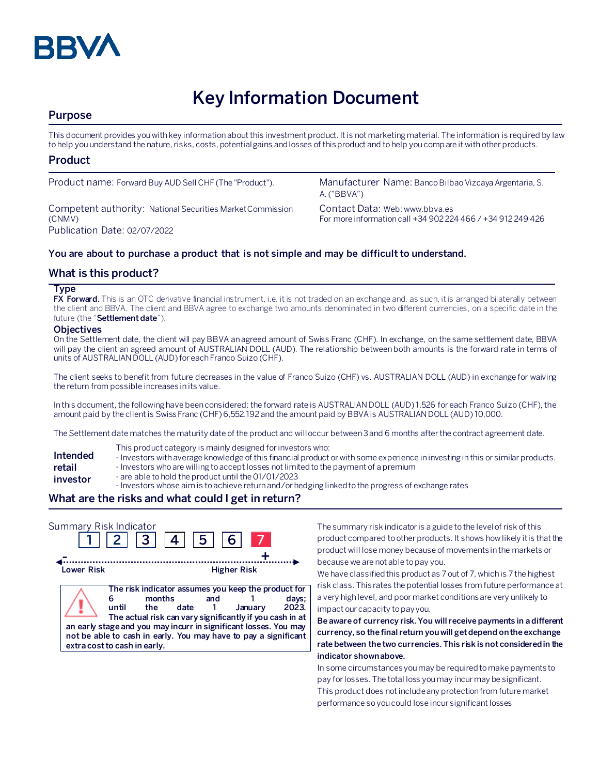

# **Key Information Document**

# **Purpose**

This document provides you with key information about this investment product. It is not marketing material. The information is required by law to help you understand the nature, risks, costs, potential gains and losses of this product and to help you compare it with other products.

## **Product**

Competent authority: National Securities Market Commission (CNMV) Publication Date: 02/07/2022

Product name: Forward Buy AUD Sell CHF (The "Product"). Manufacturer Name: Banco Bilbao Vizcaya Argentaria, S. A. ("BBVA")

> Contact Data: Web: www.bbva.es For more information call +34 902 224 466 / +34 912 249 426

## **You are about to purchase a product that is not simple and may be difficult to understand.**

## **What is this product?**

#### **Type**

**FX Forward.** This is an OTC derivative financial instrument, i.e. it is not traded on an exchange and, as such, it is arranged bilaterally between the client and BBVA. The client and BBVA agree to exchange two amounts denominated in two different currencies, on a specific date in the future (the "**Settlement date**").

#### **Objectives**

On the Settlement date, the client will pay BBVA an agreed amount of Swiss Franc (CHF). In exchange, on the same settlement date, BBVA will pay the client an agreed amount of AUSTRALIAN DOLL (AUD). The relationship between both amounts is the forward rate in terms of units of AUSTRALIAN DOLL (AUD) for each Franco Suizo (CHF).

The client seeks to benefit from future decreases in the value of Franco Suizo (CHF) vs. AUSTRALIAN DOLL (AUD) in exchange for waiving the return from possible increases in its value.

In this document, the following have been considered: the forward rate is AUSTRALIAN DOLL (AUD) 1.526 for each Franco Suizo (CHF), the amount paid by the client is Swiss Franc (CHF)6,552.192 and the amount paid by BBVA is AUSTRALIAN DOLL (AUD) 10,000.

The Settlement date matches the maturity date of the product and will occur between 3 and 6 months after the contract agreement date.

- This product category is mainly designed for investors who:
- **Intended**  - Investors with average knowledge of this financial product or with some experience in investing in this or similar products.
- **retail**  - Investors who are willing to accept losses not limited to the payment of a premium
- **investor** - are able to hold the product until the 01/01/2023
	- Investors whose aim is to achieve return and/or hedging linked to the progress of exchange rates

# **What are the risks and what could I get in return?**

| Summary Risk Indicator | 2  3  4                                                                                                                                                                                                                                                                                                          | 5           | 6 <sup>1</sup>     |                           |
|------------------------|------------------------------------------------------------------------------------------------------------------------------------------------------------------------------------------------------------------------------------------------------------------------------------------------------------------|-------------|--------------------|---------------------------|
| Lower Risk             |                                                                                                                                                                                                                                                                                                                  |             | <b>Higher Risk</b> |                           |
|                        | The risk indicator assumes you keep the product for<br>months<br>until<br>the<br>The actual risk can vary significantly if you cash in at<br>an early stage and you may incurr in significant losses. You may<br>not be able to cash in early. You may have to pay a significant<br>extra cost to cash in early. | and<br>date |                    | days;<br>2023.<br>Januarv |

The summary risk indicator is a guide to the level of risk of this product compared to other products. It shows how likely it is that the product will lose money because of movements in the markets or because we are not able to pay you.

We have classified this product as 7 out of 7, which is 7 the highest risk class. This rates the potential losses from future performance at a very high level, and poor market conditions are very unlikely to impact our capacity to pay you.

**Be aware of currency risk. You will receive payments in a different currency, so the final return you will get depend on the exchange rate between the two currencies. This risk is not considered in the indicator shown above.**

In some circumstances you may be required to make payments to pay for losses. The total loss you may incur may be significant. This product does not include any protection from future market performance so you could lose incur significant losses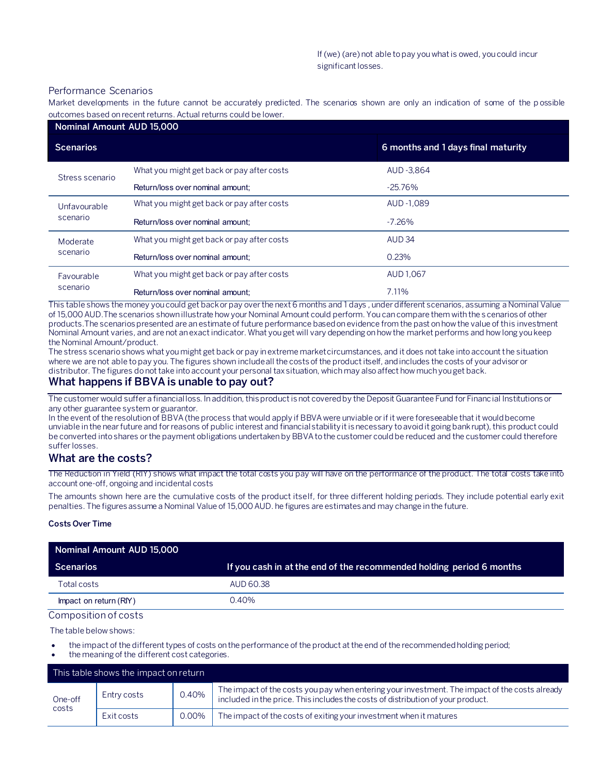#### Performance Scenarios

Market developments in the future cannot be accurately predicted. The scenarios shown are only an indication of some of the p ossible outcomes based on recent returns. Actual returns could be lower.

| Nominal Amount AUD 15,000 |                                            |                                    |  |  |
|---------------------------|--------------------------------------------|------------------------------------|--|--|
| <b>Scenarios</b>          |                                            | 6 months and 1 days final maturity |  |  |
| Stress scenario           | What you might get back or pay after costs | AUD - 3.864                        |  |  |
|                           | Return/loss over nominal amount:           | $-25.76\%$                         |  |  |
| Unfavourable<br>scenario  | What you might get back or pay after costs | AUD -1.089                         |  |  |
|                           | Return/loss over nominal amount:           | $-7.26\%$                          |  |  |
| Moderate<br>scenario      | What you might get back or pay after costs | AUD <sub>34</sub>                  |  |  |
|                           | Return/loss over nominal amount:           | 0.23%                              |  |  |
| Favourable<br>scenario    | What you might get back or pay after costs | AUD 1.067                          |  |  |
|                           | Return/loss over nominal amount:           | 7.11%                              |  |  |

This table shows the money you could get back or pay over the next 6 months and 1 days , under different scenarios, assuming a Nominal Value of 15,000 AUD.The scenarios shown illustrate how your Nominal Amount could perform. You can compare them with the s cenarios of other products.The scenarios presented are an estimate of future performance based on evidence from the past on how the value of this investment Nominal Amount varies, and are not an exact indicator. What you get will vary depending on how the market performs and how long you keep the Nominal Amount/product.

The stress scenario shows what you might get back or pay in extreme market circumstances, and it does not take into account the situation where we are not able to pay you. The figures shown include all the costs of the product itself, and includes the costs of your advisor or distributor. The figures do not take into account your personal tax situation, which may also affect how much you get back.

## **What happens if BBVA is unable to pay out?**

The customer would suffer a financial loss. In addition, this product is not covered by the Deposit Guarantee Fund for Financial Institutions or any other guarantee system or guarantor.

In the event of the resolution of BBVA (the process that would apply if BBVA were unviable or if it were foreseeable that it would become unviable in the near future and for reasons of public interest and financial stability it is necessary to avoid it going bankrupt), this product could be converted into shares or the payment obligations undertaken by BBVA to the customer could be reduced and the customer could therefore suffer losses.

## **What are the costs?**

The Reduction in Yield (RIY) shows what impact the total costs you pay will have on the performance of the product. The total costs take into account one-off, ongoing and incidental costs

The amounts shown here are the cumulative costs of the product itself, for three different holding periods. They include potential early exit penalties. The figures assume a Nominal Value of 15,000 AUD. he figures are estimates and may change in the future.

#### **Costs Over Time**

| Nominal Amount AUD 15,000 |                                                                      |  |
|---------------------------|----------------------------------------------------------------------|--|
| <b>Scenarios</b>          | If you cash in at the end of the recommended holding period 6 months |  |
| Total costs               | AUD 60.38                                                            |  |
| Impact on return (RIY)    | 0.40%                                                                |  |

#### Composition of costs

The table below shows:

- the impact of the different types of costs on the performance of the product at the end of the recommended holding period;
- the meaning of the different cost categories.

| This table shows the impact on return |             |       |                                                                                                                                                                                   |  |
|---------------------------------------|-------------|-------|-----------------------------------------------------------------------------------------------------------------------------------------------------------------------------------|--|
| One-off<br>costs                      | Entry costs | 0.40% | The impact of the costs you pay when entering your investment. The impact of the costs already<br>included in the price. This includes the costs of distribution of your product. |  |
|                                       | Exit costs  | 0.00% | The impact of the costs of exiting your investment when it matures                                                                                                                |  |